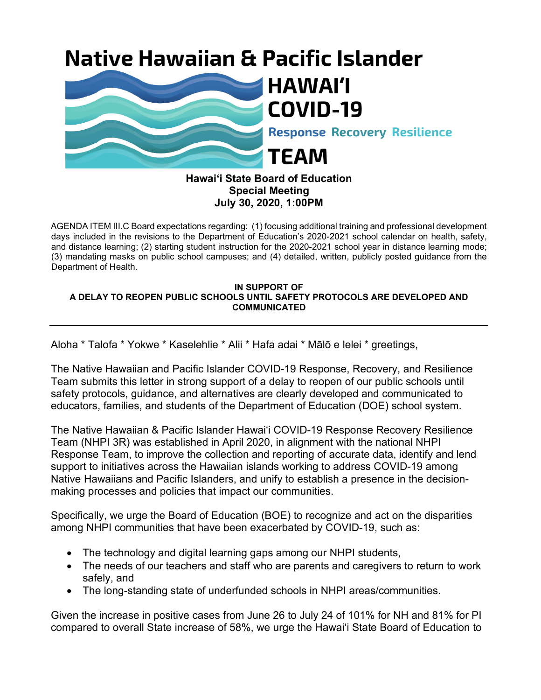## **Native Hawaiian & Pacific Islander**



## **Hawai'i State Board of Education Special Meeting July 30, 2020, 1:00PM**

AGENDA ITEM III.C Board expectations regarding: (1) focusing additional training and professional development days included in the revisions to the Department of Education's 2020-2021 school calendar on health, safety, and distance learning; (2) starting student instruction for the 2020-2021 school year in distance learning mode; (3) mandating masks on public school campuses; and (4) detailed, written, publicly posted guidance from the Department of Health.

## **IN SUPPORT OF A DELAY TO REOPEN PUBLIC SCHOOLS UNTIL SAFETY PROTOCOLS ARE DEVELOPED AND COMMUNICATED**

Aloha \* Talofa \* Yokwe \* Kaselehlie \* Alii \* Hafa adai \* Mālō e lelei \* greetings,

The Native Hawaiian and Pacific Islander COVID-19 Response, Recovery, and Resilience Team submits this letter in strong support of a delay to reopen of our public schools until safety protocols, guidance, and alternatives are clearly developed and communicated to educators, families, and students of the Department of Education (DOE) school system.

The Native Hawaiian & Pacific Islander Hawaiʻi COVID-19 Response Recovery Resilience Team (NHPI 3R) was established in April 2020, in alignment with the national NHPI Response Team, to improve the collection and reporting of accurate data, identify and lend support to initiatives across the Hawaiian islands working to address COVID-19 among Native Hawaiians and Pacific Islanders, and unify to establish a presence in the decisionmaking processes and policies that impact our communities.

Specifically, we urge the Board of Education (BOE) to recognize and act on the disparities among NHPI communities that have been exacerbated by COVID-19, such as:

- The technology and digital learning gaps among our NHPI students,
- The needs of our teachers and staff who are parents and caregivers to return to work safely, and
- The long-standing state of underfunded schools in NHPI areas/communities.

Given the increase in positive cases from June 26 to July 24 of 101% for NH and 81% for PI compared to overall State increase of 58%, we urge the Hawai'i State Board of Education to